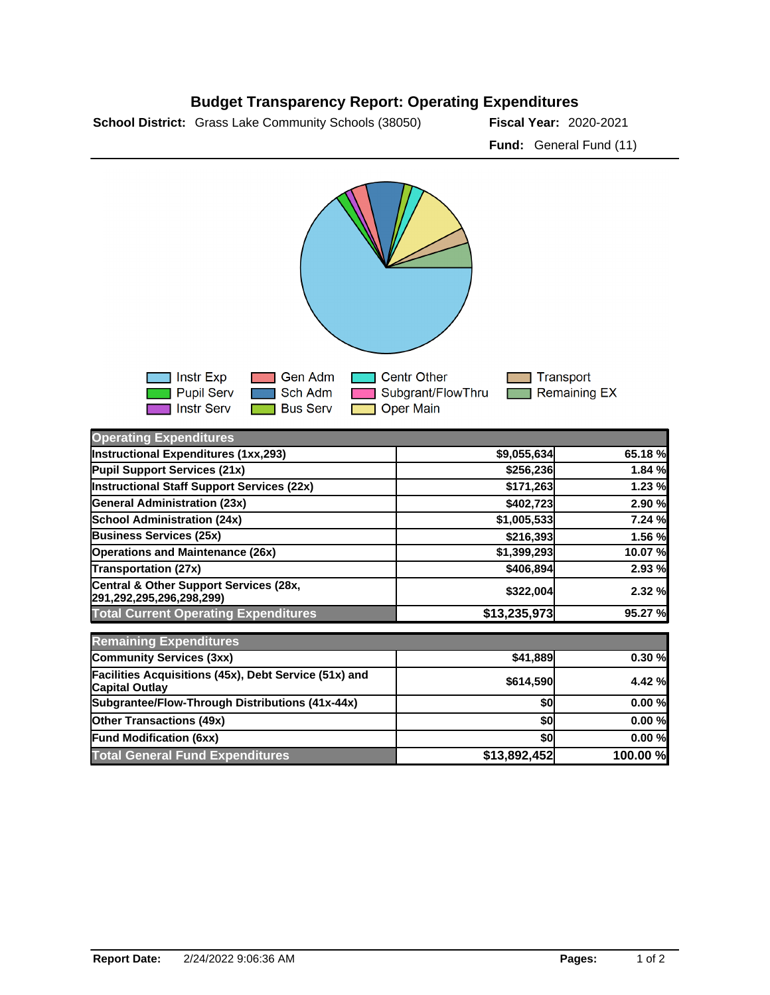

**Fund Modification (6xx) \$0 0.00 % Total General Fund Expenditures \$13,892,452 100.00 %**

## **Budget Transparency Report: Operating Expenditures**

**School District:** Grass Lake Community Schools (38050) **Fiscal Year:** 2020-2021